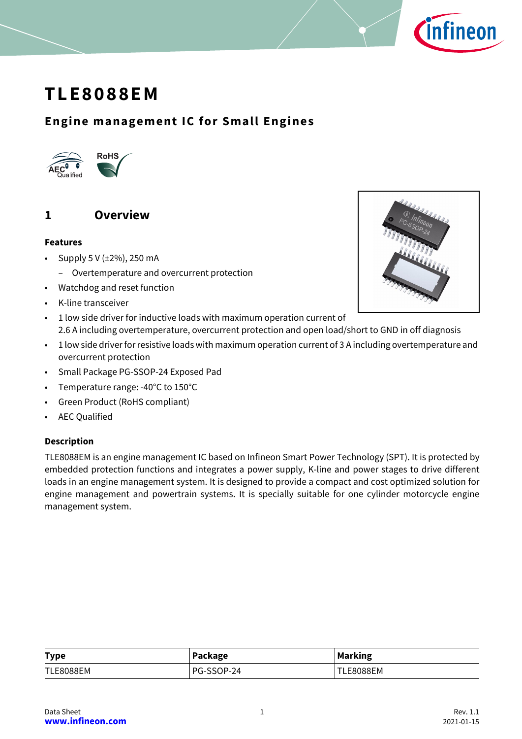

# **TLE8088EM**

## **Engine management IC for Small Engines**



## <span id="page-0-0"></span>**1 Overview**

#### **Features**

- Supply  $5 \vee (\pm 2\%)$ , 250 mA
	- Overtemperature and overcurrent protection
- Watchdog and reset function
- K-line transceiver
- 1 low side driver for inductive loads with maximum operation current of 2.6 A including overtemperature, overcurrent protection and open load/short to GND in off diagnosis
- 1 low side driver for resistive loads with maximum operation current of 3 A including overtemperature and overcurrent protection
- Small Package PG-SSOP-24 Exposed Pad
- Temperature range: -40°C to 150°C
- Green Product (RoHS compliant)
- AEC Qualified

#### **Description**

TLE8088EM is an engine management IC based on Infineon Smart Power Technology (SPT). It is protected by embedded protection functions and integrates a power supply, K-line and power stages to drive different loads in an engine management system. It is designed to provide a compact and cost optimized solution for engine management and powertrain systems. It is specially suitable for one cylinder motorcycle engine management system.

| <b>Type</b>      | Package    | <b>Marking</b>   |
|------------------|------------|------------------|
| <b>TLE8088EM</b> | PG-SSOP-24 | <b>TLE8088EM</b> |

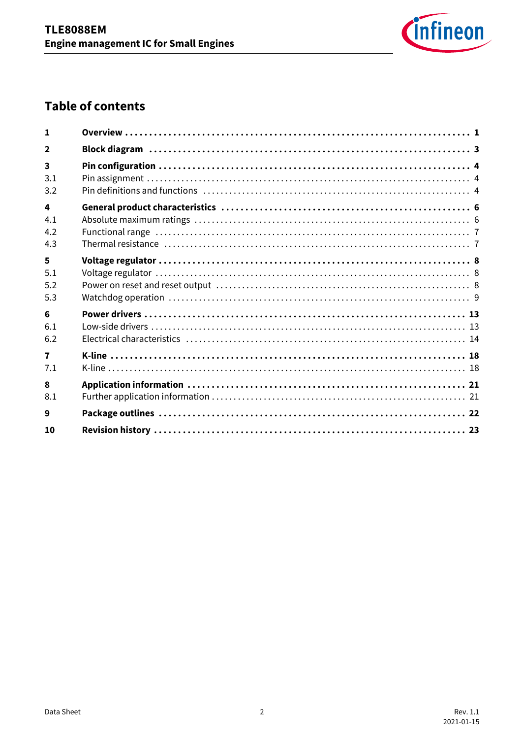

## **Table of contents**

| 1                       |  |
|-------------------------|--|
| $\mathbf{2}$            |  |
| 3                       |  |
| 3.1                     |  |
| 3.2                     |  |
| 4                       |  |
| 4.1                     |  |
| 4.2                     |  |
| 4.3                     |  |
| 5                       |  |
| 5.1                     |  |
| 5.2                     |  |
| 5.3                     |  |
| 6                       |  |
| 6.1                     |  |
| 6.2                     |  |
| $\overline{\mathbf{z}}$ |  |
| 7.1                     |  |
| 8                       |  |
| 8.1                     |  |
| 9                       |  |
| 10                      |  |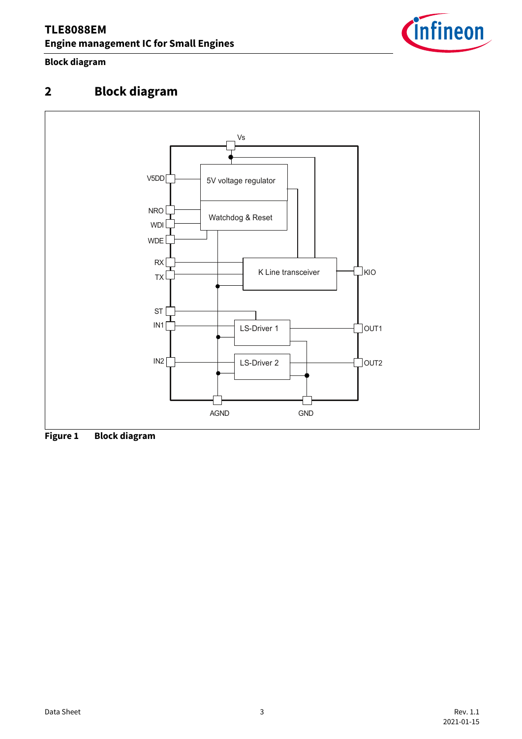

#### **Block diagram**

## <span id="page-2-0"></span>**2 Block diagram**



**Figure 1 Block diagram**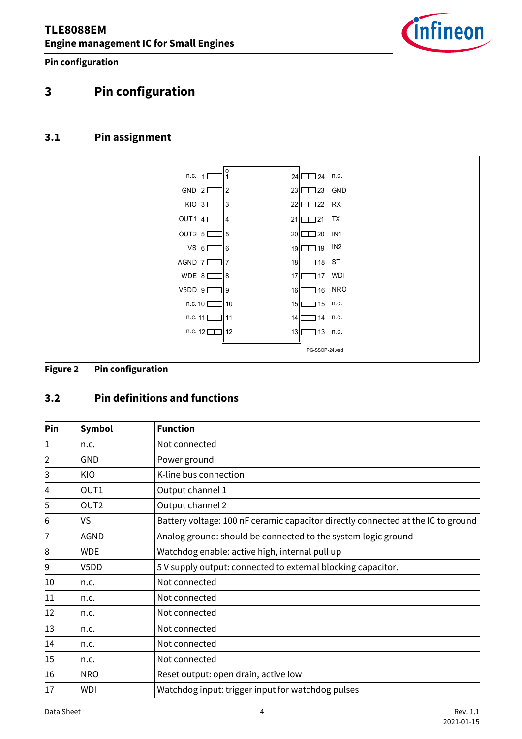

**Pin configuration**

## <span id="page-3-0"></span>**3 Pin configuration**

#### <span id="page-3-1"></span>**3.1 Pin assignment**



**Figure 2 Pin configuration**

## <span id="page-3-2"></span>**3.2 Pin definitions and functions**

| Pin | Symbol           | <b>Function</b>                                                                  |
|-----|------------------|----------------------------------------------------------------------------------|
| 1   | n.c.             | Not connected                                                                    |
| 2   | <b>GND</b>       | Power ground                                                                     |
| 3   | KIO              | K-line bus connection                                                            |
| 4   | OUT1             | Output channel 1                                                                 |
| 5   | OUT <sub>2</sub> | Output channel 2                                                                 |
| 6   | <b>VS</b>        | Battery voltage: 100 nF ceramic capacitor directly connected at the IC to ground |
| 7   | AGND             | Analog ground: should be connected to the system logic ground                    |
| 8   | <b>WDE</b>       | Watchdog enable: active high, internal pull up                                   |
| 9   | V5DD             | 5 V supply output: connected to external blocking capacitor.                     |
| 10  | n.c.             | Not connected                                                                    |
| 11  | n.c.             | Not connected                                                                    |
| 12  | n.c.             | Not connected                                                                    |
| 13  | n.c.             | Not connected                                                                    |
| 14  | n.c.             | Not connected                                                                    |
| 15  | n.c.             | Not connected                                                                    |
| 16  | <b>NRO</b>       | Reset output: open drain, active low                                             |
| 17  | <b>WDI</b>       | Watchdog input: trigger input for watchdog pulses                                |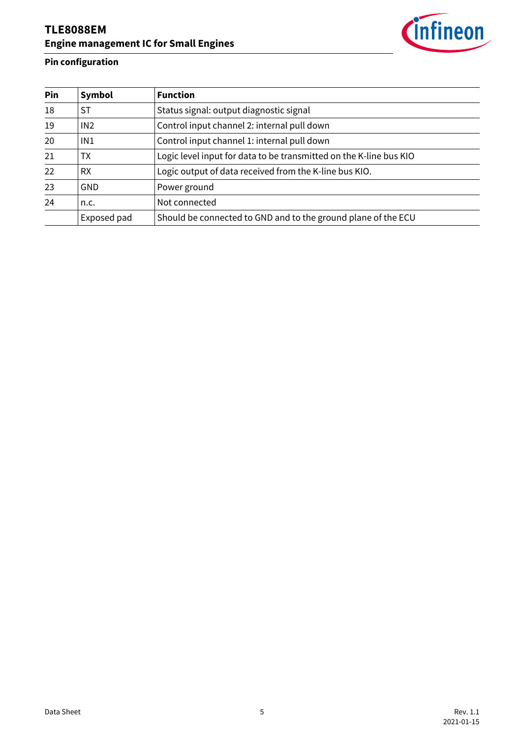

## **Pin configuration**

| Pin | Symbol      | <b>Function</b>                                                    |
|-----|-------------|--------------------------------------------------------------------|
| 18  | ST          | Status signal: output diagnostic signal                            |
| 19  | IN2         | Control input channel 2: internal pull down                        |
| 20  | IN1         | Control input channel 1: internal pull down                        |
| 21  | TX          | Logic level input for data to be transmitted on the K-line bus KIO |
| 22  | <b>RX</b>   | Logic output of data received from the K-line bus KIO.             |
| 23  | GND         | Power ground                                                       |
| 24  | n.c.        | Not connected                                                      |
|     | Exposed pad | Should be connected to GND and to the ground plane of the ECU      |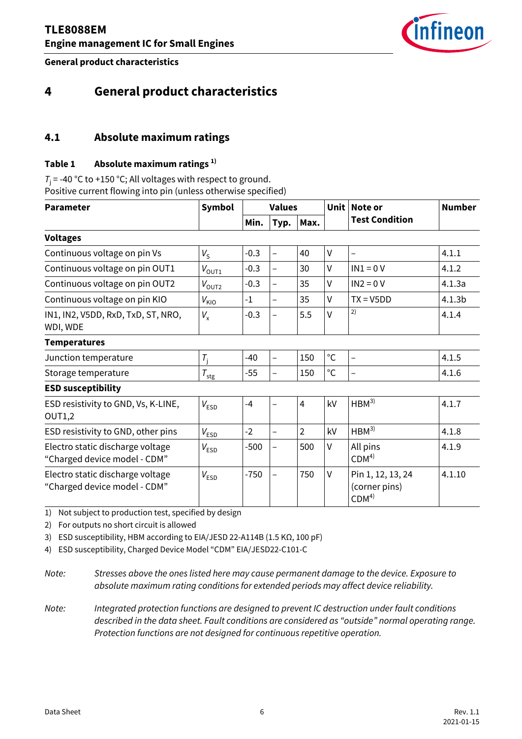

**General product characteristics**

## <span id="page-5-0"></span>**4 General product characteristics**

#### <span id="page-5-1"></span>**4.1 Absolute maximum ratings**

#### **Table 1 Absolute maximum ratings 1)**

 $T_i$  = -40 °C to +150 °C; All voltages with respect to ground. Positive current flowing into pin (unless otherwise specified)

<span id="page-5-7"></span><span id="page-5-6"></span><span id="page-5-5"></span><span id="page-5-4"></span><span id="page-5-3"></span><span id="page-5-2"></span>

| <b>Parameter</b>                                                 | <b>Symbol</b><br><b>Values</b> |        | <b>Unit</b>              | Note or        | <b>Number</b> |                                                        |                    |
|------------------------------------------------------------------|--------------------------------|--------|--------------------------|----------------|---------------|--------------------------------------------------------|--------------------|
|                                                                  |                                | Min.   | Typ.                     | Max.           |               | <b>Test Condition</b>                                  |                    |
| <b>Voltages</b>                                                  |                                |        |                          |                |               |                                                        |                    |
| Continuous voltage on pin Vs                                     | $V_{\rm S}$                    | $-0.3$ | $\overline{\phantom{0}}$ | 40             | $\vee$        |                                                        | 4.1.1              |
| Continuous voltage on pin OUT1                                   | $V_{\text{OUT1}}$              | $-0.3$ | $\overline{\phantom{0}}$ | 30             | $\vee$        | $IN1 = 0 V$                                            | 4.1.2              |
| Continuous voltage on pin OUT2                                   | $V_{\text{OUT2}}$              | $-0.3$ |                          | 35             | $\vee$        | $IN2 = 0 V$                                            | 4.1.3a             |
| Continuous voltage on pin KIO                                    | $V_{\text{KIO}}$               | $-1$   | $\overline{\phantom{0}}$ | 35             | $\vee$        | $TX = V5DD$                                            | 4.1.3 <sub>b</sub> |
| IN1, IN2, V5DD, RxD, TxD, ST, NRO,<br>WDI, WDE                   | $V_{\rm x}$                    | $-0.3$ | $\qquad \qquad -$        | 5.5            | $\vee$        | 2)                                                     | 4.1.4              |
| <b>Temperatures</b>                                              |                                |        |                          |                |               |                                                        |                    |
| Junction temperature                                             | $T_i$                          | $-40$  | $\overline{\phantom{0}}$ | 150            | $^{\circ}$ C  |                                                        | 4.1.5              |
| Storage temperature                                              | $T_{\text{stg}}$               | $-55$  | $\overline{\phantom{0}}$ | 150            | $^{\circ}$ C  |                                                        | 4.1.6              |
| <b>ESD susceptibility</b>                                        |                                |        |                          |                |               |                                                        |                    |
| ESD resistivity to GND, Vs, K-LINE,<br><b>OUT1,2</b>             | $V_{ESD}$                      | $-4$   | $\overline{\phantom{0}}$ | 4              | kV            | HBM <sup>3</sup>                                       | 4.1.7              |
| ESD resistivity to GND, other pins                               | $V_{ESD}$                      | $-2$   | $\overline{\phantom{0}}$ | $\overline{2}$ | kV            | HBM <sup>3</sup>                                       | 4.1.8              |
| Electro static discharge voltage<br>"Charged device model - CDM" | $V_{ESD}$                      | $-500$ | $\overline{\phantom{0}}$ | 500            | $\vee$        | All pins<br>CDM <sup>4</sup>                           | 4.1.9              |
| Electro static discharge voltage<br>"Charged device model - CDM" | $V_{ESD}$                      | $-750$ | $\overline{\phantom{0}}$ | 750            | V             | Pin 1, 12, 13, 24<br>(corner pins)<br>CDM <sup>4</sup> | 4.1.10             |

<span id="page-5-14"></span><span id="page-5-12"></span><span id="page-5-11"></span><span id="page-5-9"></span><span id="page-5-8"></span>1) Not subject to production test, specified by design

2) For outputs no short circuit is allowed

<span id="page-5-10"></span>3) ESD susceptibility, HBM according to EIA/JESD 22-A114B (1.5 KΩ, 100 pF)

<span id="page-5-13"></span>4) ESD susceptibility, Charged Device Model "CDM" EIA/JESD22-C101-C

*Note: Stresses above the ones listed here may cause permanent damage to the device. Exposure to absolute maximum rating conditions for extended periods may affect device reliability.*

*Note: Integrated protection functions are designed to prevent IC destruction under fault conditions described in the data sheet. Fault conditions are considered as "outside" normal operating range. Protection functions are not designed for continuous repetitive operation.*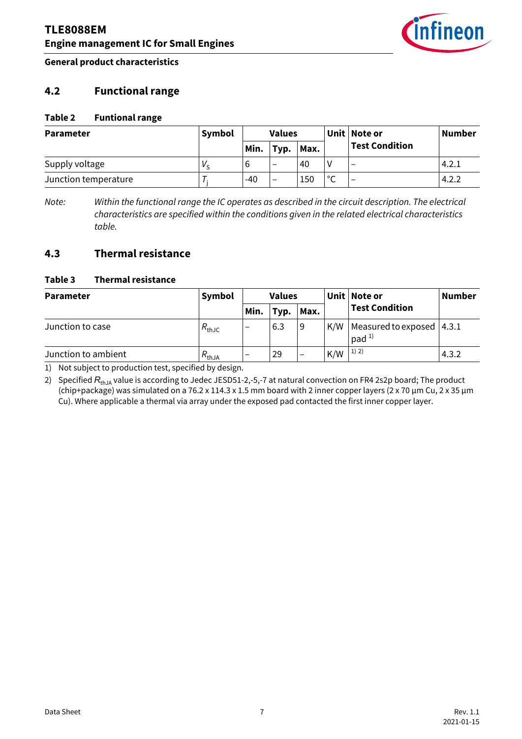

**General product characteristics**

#### <span id="page-6-0"></span>**4.2 Functional range**

#### **Table 2 Funtional range**

<span id="page-6-3"></span>

| <b>Parameter</b>     | Symbol | <b>Values</b> |                          |      |             |                          |       |  | Unit Note or | Number |
|----------------------|--------|---------------|--------------------------|------|-------------|--------------------------|-------|--|--------------|--------|
|                      |        | Min.          | Typ.                     | Max. |             | <b>Test Condition</b>    |       |  |              |        |
| Supply voltage       | V c    | b             | $\overline{\phantom{0}}$ | 40   |             | $\overline{\phantom{0}}$ | 4.2.1 |  |              |        |
| Junction temperature |        | $-40$         | $\overline{\phantom{0}}$ | 150  | $\sim$<br>◡ |                          | 4.2.2 |  |              |        |

<span id="page-6-4"></span>*Note: Within the functional range the IC operates as described in the circuit description. The electrical characteristics are specified within the conditions given in the related electrical characteristics table.*

#### <span id="page-6-1"></span>**4.3 Thermal resistance**

#### **Table 3 Thermal resistance**

<span id="page-6-5"></span>

| <b>Parameter</b>    | Symbol            | <b>Values</b> |      |                          |     | Unit   Note or                          | <b>Number</b> |
|---------------------|-------------------|---------------|------|--------------------------|-----|-----------------------------------------|---------------|
|                     |                   | Min.          | Typ. | Max.                     |     | <b>Test Condition</b>                   |               |
| Junction to case    | $R_{\text{thJC}}$ |               | 6.3  | 9                        | K/W | Measured to exposed<br>pad <sup>1</sup> | 4.3.1         |
| Junction to ambient | $R_{thJA}$        | -             | 29   | $\overline{\phantom{m}}$ | K/W | 1) 2)                                   | 4.3.2         |

<span id="page-6-6"></span><span id="page-6-2"></span>1) Not subject to production test, specified by design.

2) Specified R<sub>thJA</sub> value is according to Jedec JESD51-2,-5,-7 at natural convection on FR4 2s2p board; The product (chip+package) was simulated on a 76.2 x 114.3 x 1.5 mm board with 2 inner copper layers (2 x 70 µm Cu, 2 x 35 µm Cu). Where applicable a thermal via array under the exposed pad contacted the first inner copper layer.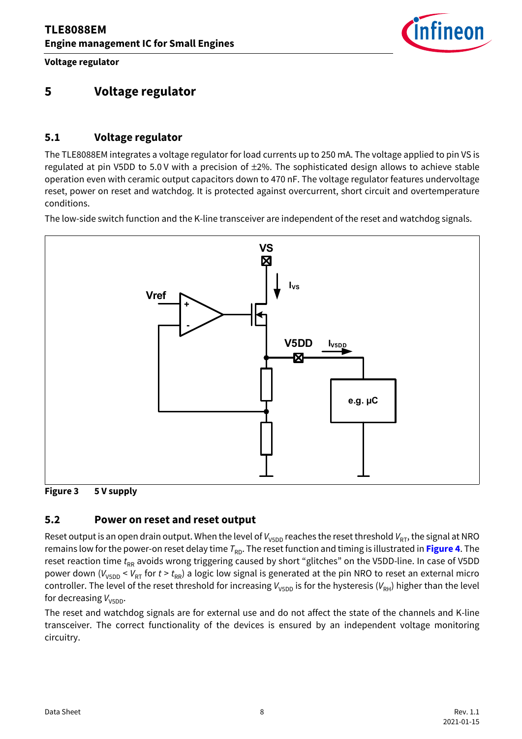

**Voltage regulator**

## <span id="page-7-0"></span>**5 Voltage regulator**

#### <span id="page-7-1"></span>**5.1 Voltage regulator**

The TLE8088EM integrates a voltage regulator for load currents up to 250 mA. The voltage applied to pin VS is regulated at pin V5DD to 5.0 V with a precision of ±2%. The sophisticated design allows to achieve stable operation even with ceramic output capacitors down to 470 nF. The voltage regulator features undervoltage reset, power on reset and watchdog. It is protected against overcurrent, short circuit and overtemperature conditions.

The low-side switch function and the K-line transceiver are independent of the reset and watchdog signals.



#### **Figure 3 5 V supply**

#### <span id="page-7-2"></span>**5.2 Power on reset and reset output**

Reset output is an open drain output. When the level of *V*<sub>V5DD</sub> reaches the reset threshold *V*<sub>RT</sub>, the signal at NRO remains low for the power-on reset delay time T<sub>RD</sub>. The reset function and timing is illustrated in [Figure 4](#page-8-1). The reset reaction time t<sub>RR</sub> avoids wrong triggering caused by short "glitches" on the V5DD-line. In case of V5DD power down ( $V_{V5DD}$  <  $V_{RT}$  for  $t > t_{RR}$ ) a logic low signal is generated at the pin NRO to reset an external micro controller. The level of the reset threshold for increasing  $V_{V5DD}$  is for the hysteresis ( $V_{RH}$ ) higher than the level for decreasing  $V_{\text{V5DD}}$ .

The reset and watchdog signals are for external use and do not affect the state of the channels and K-line transceiver. The correct functionality of the devices is ensured by an independent voltage monitoring circuitry.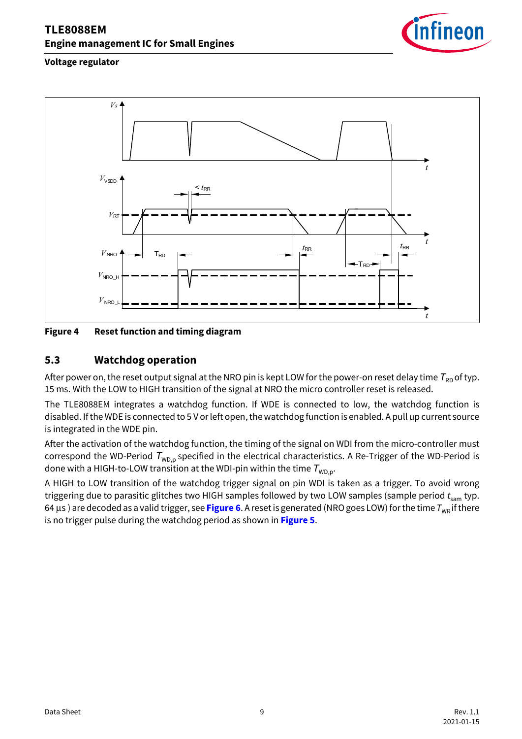

#### **Voltage regulator**



<span id="page-8-1"></span>**Figure 4 Reset function and timing diagram**

#### <span id="page-8-0"></span>**5.3 Watchdog operation**

After power on, the reset output signal at the NRO pin is kept LOW for the power-on reset delay time  $T_{RD}$  of typ. 15 ms. With the LOW to HIGH transition of the signal at NRO the micro controller reset is released.

The TLE8088EM integrates a watchdog function. If WDE is connected to low, the watchdog function is disabled. If the WDE is connected to 5 V or left open, the watchdog function is enabled. A pull up current source is integrated in the WDE pin.

After the activation of the watchdog function, the timing of the signal on WDI from the micro-controller must correspond the WD-Period  $T_{WD, p}$  specified in the electrical characteristics. A Re-Trigger of the WD-Period is done with a HIGH-to-LOW transition at the WDI-pin within the time  $T_{WDP}$ .

A HIGH to LOW transition of the watchdog trigger signal on pin WDI is taken as a trigger. To avoid wrong triggering due to parasitic glitches two HIGH samples followed by two LOW samples (sample period  $t_{\text{sam}}$  typ. 64 μs) are decoded as a valid trigger, see [Figure 6](#page-9-0). A reset is generated (NRO goes LOW) for the time *T*<sub>WR</sub> if there is no trigger pulse during the watchdog period as shown in **[Figure 5](#page-9-1)**.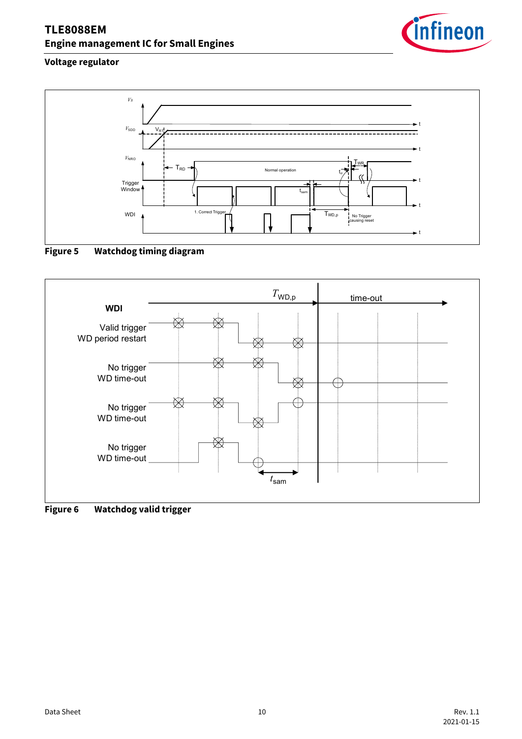

#### **Voltage regulator**



## <span id="page-9-1"></span>**Figure 5 Watchdog timing diagram**



<span id="page-9-0"></span>**Figure 6 Watchdog valid trigger**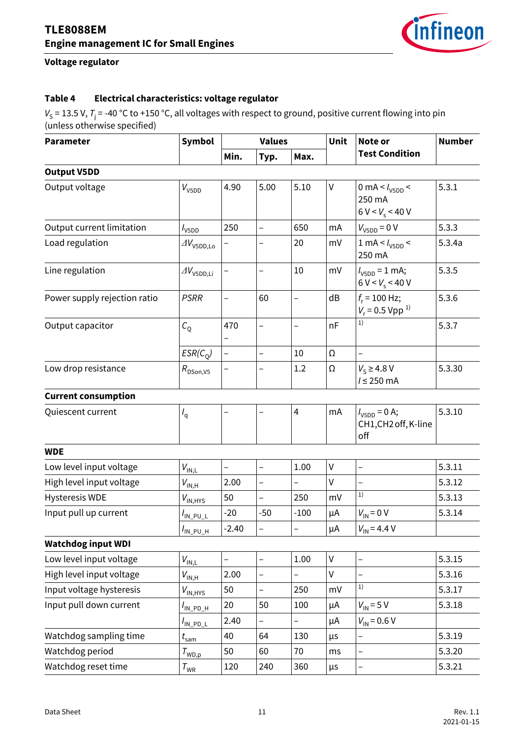<span id="page-10-5"></span>

### **Voltage regulator**

#### **Table 4 Electrical characteristics: voltage regulator**

 $V_S$  = 13.5 V,  $T_j$  = -40 °C to +150 °C, all voltages with respect to ground, positive current flowing into pin (unless otherwise specified)

<span id="page-10-19"></span><span id="page-10-18"></span><span id="page-10-17"></span><span id="page-10-16"></span><span id="page-10-15"></span><span id="page-10-14"></span><span id="page-10-13"></span><span id="page-10-12"></span><span id="page-10-11"></span><span id="page-10-10"></span><span id="page-10-9"></span><span id="page-10-8"></span><span id="page-10-7"></span><span id="page-10-6"></span><span id="page-10-4"></span><span id="page-10-3"></span><span id="page-10-2"></span><span id="page-10-1"></span><span id="page-10-0"></span>

| <b>Parameter</b>             | <b>Symbol</b>                        |                          | <b>Values</b>            |                          | Unit         | Note or<br><b>Test Condition</b>                                | <b>Number</b> |
|------------------------------|--------------------------------------|--------------------------|--------------------------|--------------------------|--------------|-----------------------------------------------------------------|---------------|
|                              |                                      | Min.                     | Typ.                     | Max.                     |              |                                                                 |               |
| <b>Output V5DD</b>           |                                      |                          |                          |                          |              |                                                                 |               |
| Output voltage               | $V_{V5DD}$                           | 4.90                     | 5.00                     | 5.10                     | V            | 0 mA < $I_{\text{V5DD}}$ <<br>250 mA<br>$6 V < V_s < 40 V$      | 5.3.1         |
| Output current limitation    | $I_{\text{V5DD}}$                    | 250                      | $\overline{\phantom{0}}$ | 650                      | mA           | $V_{\text{V5DD}} = 0 \text{ V}$                                 | 5.3.3         |
| Load regulation              | $\varDelta V_{\text{V5DD,LO}}$       |                          |                          | 20                       | mV           | $1 \text{ mA} < l_{\text{V5DD}} <$<br>250 mA                    | 5.3.4a        |
| Line regulation              | $\Delta V_{\rm V5DD,Li}$             | $\overline{\phantom{0}}$ | $\overline{a}$           | 10                       | mV           | $I_{V5DD} = 1$ mA;<br>$6 V < V_s < 40 V$                        | 5.3.5         |
| Power supply rejection ratio | <b>PSRR</b>                          | $\overline{a}$           | 60                       | $\overline{\phantom{0}}$ | dB           | $f_r = 100$ Hz;<br>$V_r = 0.5$ Vpp <sup>1)</sup>                | 5.3.6         |
| Output capacitor             | $C_{\rm Q}$                          | 470                      | $\overline{a}$           | $\overline{a}$           | nF           | 1)                                                              | 5.3.7         |
|                              | $ESR(C_0)$                           | $\overline{\phantom{0}}$ | $\overline{a}$           | 10                       | Ω            | -                                                               |               |
| Low drop resistance          | $R_{\text{DSon,V5}}$                 |                          |                          | 1.2                      | Ω            | $V_S \geq 4.8$ V<br>$l \leq 250$ mA                             | 5.3.30        |
| <b>Current consumption</b>   |                                      |                          |                          |                          |              |                                                                 |               |
| Quiescent current            | $I_{q}$                              |                          |                          | 4                        | mA           | $I_{\text{V5DD}} = 0 \text{ A};$<br>CH1, CH2 off, K-line<br>off | 5.3.10        |
| <b>WDE</b>                   |                                      |                          |                          |                          |              |                                                                 |               |
| Low level input voltage      | $V_{\mathsf{IN},\mathsf{L}}$         | $\overline{a}$           | $\overline{a}$           | 1.00                     | $\sf V$      | $\overline{a}$                                                  | 5.3.11        |
| High level input voltage     | $V_{\mathsf{IN},\mathsf{H}}$         | 2.00                     | $\overline{a}$           | $\overline{a}$           | $\sf V$      | $\overline{a}$                                                  | 5.3.12        |
| <b>Hysteresis WDE</b>        | $V_{IN, HYS}$                        | 50                       | $\overline{a}$           | 250                      | mV           | 1)                                                              | 5.3.13        |
| Input pull up current        | $I_{\text{IN\_PU\_L}}$               | $-20$                    | $-50$                    | $-100$                   | μA           | $V_{IN} = 0 V$                                                  | 5.3.14        |
|                              | $I_{\text{IN\_PU\_H}}$               | $-2.40$                  | $\overline{\phantom{0}}$ | -                        | μΑ           | $V_{\text{IN}}$ = 4.4 V                                         |               |
| <b>Watchdog input WDI</b>    |                                      |                          |                          |                          |              |                                                                 |               |
| Low level input voltage      | $V_{\text{IN},\underline{\text{L}}}$ | $\overline{\phantom{0}}$ | $\overline{\phantom{0}}$ | 1.00                     | $\sf V$      | -                                                               | 5.3.15        |
| High level input voltage     | $V_{IN, H}$                          | 2.00                     |                          |                          | $\mathsf{V}$ |                                                                 | 5.3.16        |
| Input voltage hysteresis     | $V_{IN, HYS}$                        | 50                       |                          | 250                      | mV           | 1)                                                              | 5.3.17        |
| Input pull down current      | $I_{\mathsf{IN\_PD\_H}}$             | 20                       | 50                       | 100                      | μA           | $V_{\text{IN}}$ = 5 V                                           | 5.3.18        |
|                              | $I_{\text{IN\_PD\_L}}$               | 2.40                     | $\overline{a}$           |                          | μA           | $V_{\text{IN}}$ = 0.6 V                                         |               |
| Watchdog sampling time       | $t_{\mathsf{sam}}$                   | 40                       | 64                       | 130                      | μs           | -                                                               | 5.3.19        |
| Watchdog period              | $\tau_{\textsf{\tiny WD,p}}$         | 50                       | 60                       | 70                       | ms           | $\overline{\phantom{0}}$                                        | 5.3.20        |
| Watchdog reset time          | $\tau_{\scriptscriptstyle\rm WR}$    | 120                      | 240                      | 360                      | μs           | -                                                               | 5.3.21        |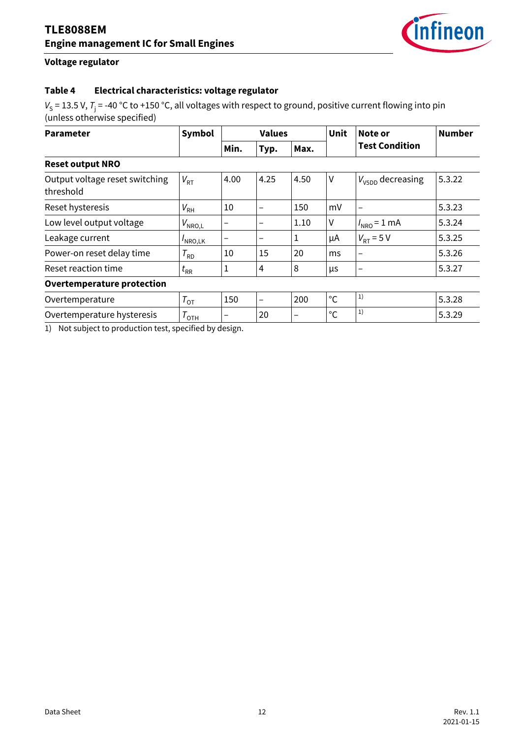

#### **Voltage regulator**

#### **Table 4 Electrical characteristics: voltage regulator**

*V*<sub>S</sub> = 13.5 V, *T*<sub>j</sub> = -40 °C to +150 °C, all voltages with respect to ground, positive current flowing into pin (unless otherwise specified)

<span id="page-11-2"></span><span id="page-11-1"></span><span id="page-11-0"></span>

| <b>Parameter</b>                            | Symbol                        |      | <b>Values</b> |      | Unit         | Note or<br><b>Test Condition</b> | <b>Number</b> |
|---------------------------------------------|-------------------------------|------|---------------|------|--------------|----------------------------------|---------------|
|                                             |                               | Min. | Typ.          | Max. |              |                                  |               |
| <b>Reset output NRO</b>                     |                               |      |               |      |              |                                  |               |
| Output voltage reset switching<br>threshold | $V_{RT}$                      | 4.00 | 4.25          | 4.50 | V            | $V_{\text{V5DD}}$ decreasing     | 5.3.22        |
| Reset hysteresis                            | $V_{\rm RH}$                  | 10   |               | 150  | mV           | -                                | 5.3.23        |
| Low level output voltage                    | $V_{\mathsf{NRO},\mathsf{L}}$ |      |               | 1.10 | V            | $I_{\text{NRO}} = 1 \text{ mA}$  | 5.3.24        |
| Leakage current                             | $I_{\text{NRO},\text{LK}}$    |      |               | T    | μA           | $V_{RT}$ = 5 V                   | 5.3.25        |
| Power-on reset delay time                   | $T_{RD}$                      | 10   | 15            | 20   | ms           | -                                | 5.3.26        |
| Reset reaction time                         | $t_{\rm RR}$                  | 1    | 4             | 8    | μs           | -                                | 5.3.27        |
| <b>Overtemperature protection</b>           |                               |      |               |      |              |                                  |               |
| Overtemperature                             | $T_{\text{OT}}$               | 150  |               | 200  | $^{\circ}$ C | 1)                               | 5.3.28        |
| Overtemperature hysteresis                  | $T_{\text{OTH}}$              |      | 20            |      | $^{\circ}$ C | 1)                               | 5.3.29        |

<span id="page-11-7"></span><span id="page-11-6"></span><span id="page-11-5"></span><span id="page-11-4"></span><span id="page-11-3"></span>1) Not subject to production test, specified by design.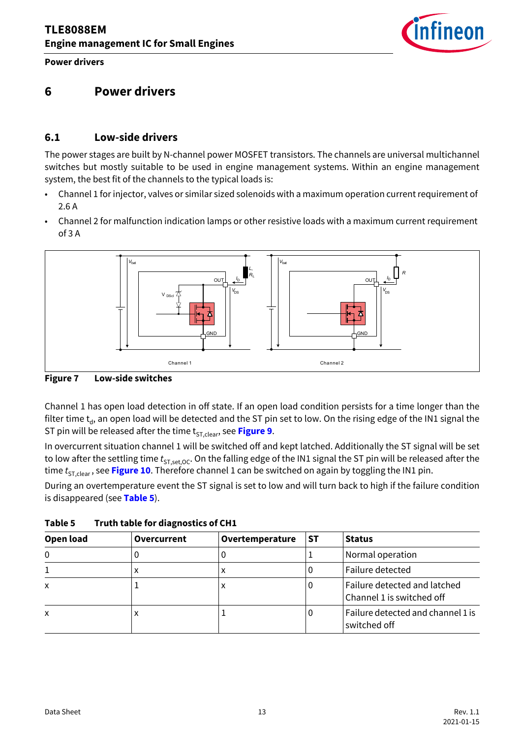

## <span id="page-12-0"></span>**6 Power drivers**

#### <span id="page-12-1"></span>**6.1 Low-side drivers**

The power stages are built by N-channel power MOSFET transistors. The channels are universal multichannel switches but mostly suitable to be used in engine management systems. Within an engine management system, the best fit of the channels to the typical loads is:

- Channel 1 for injector, valves or similar sized solenoids with a maximum operation current requirement of 2.6 A
- Channel 2 for malfunction indication lamps or other resistive loads with a maximum current requirement of 3 A



**Figure 7 Low-side switches** 

Channel 1 has open load detection in off state. If an open load condition persists for a time longer than the filter time  $t_d$ , an open load will be detected and the ST pin set to low. On the rising edge of the IN1 signal the ST pin will be released after the time t<sub>ST,clear</sub>, see **[Figure 9](#page-15-0)**.

In overcurrent situation channel 1 will be switched off and kept latched. Additionally the ST signal will be set to low after the settling time  $t_{ST.set.OC}$ . On the falling edge of the IN1 signal the ST pin will be released after the time  $t_{\text{ST,clear}}$ , see [Figure 10](#page-16-0). Therefore channel 1 can be switched on again by toggling the IN1 pin.

During an overtemperature event the ST signal is set to low and will turn back to high if the failure condition is disappeared (see **[Table 5](#page-12-2)**).

| Open load                 | Overcurrent | Overtemperature | SТ | <b>Status</b>                                             |
|---------------------------|-------------|-----------------|----|-----------------------------------------------------------|
| 0                         |             |                 |    | Normal operation                                          |
|                           | ⋏           |                 |    | Failure detected                                          |
| $\boldsymbol{\mathsf{x}}$ |             | ᄉ               |    | Failure detected and latched<br>Channel 1 is switched off |
| X                         | ⋏           |                 | υ  | Failure detected and channel 1 is<br>switched off         |

<span id="page-12-2"></span>**Table 5 Truth table for diagnostics of CH1**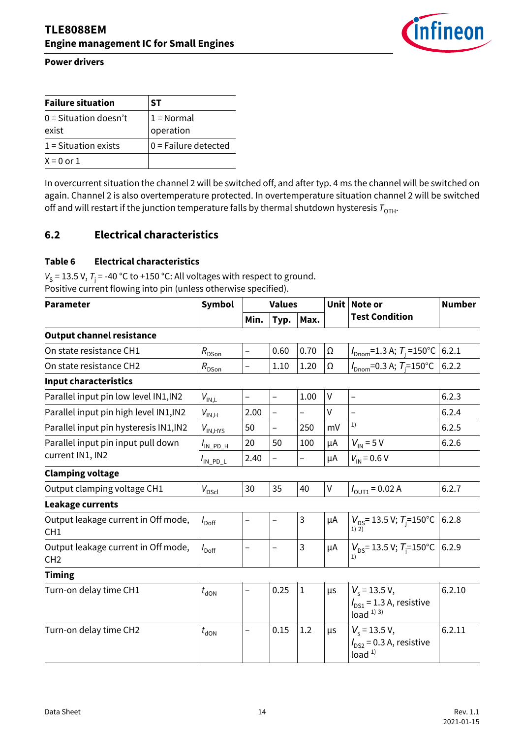

| <b>Failure situation</b>         | SТ                        |
|----------------------------------|---------------------------|
| $0 =$ Situation doesn't<br>exist | $1 = Normal$<br>operation |
| $1 =$ Situation exists           | $0 =$ Failure detected    |
| $X = 0$ or 1                     |                           |

In overcurrent situation the channel 2 will be switched off, and after typ. 4 ms the channel will be switched on again. Channel 2 is also overtemperature protected. In overtemperature situation channel 2 will be switched off and will restart if the junction temperature falls by thermal shutdown hysteresis  $T_{\text{OH}}$ .

#### <span id="page-13-0"></span>**6.2 Electrical characteristics**

#### **Table 6 Electrical characteristics**

 $V_S$  = 13.5 V,  $T_j$  = -40 °C to +150 °C: All voltages with respect to ground. Positive current flowing into pin (unless otherwise specified).

<span id="page-13-11"></span><span id="page-13-10"></span><span id="page-13-9"></span><span id="page-13-8"></span><span id="page-13-7"></span><span id="page-13-6"></span><span id="page-13-5"></span><span id="page-13-4"></span><span id="page-13-3"></span><span id="page-13-2"></span><span id="page-13-1"></span>

| <b>Parameter</b>                                       | <b>Symbol</b>                | <b>Values</b>            |                          |                          | <b>Unit</b> | Note or                                                           | <b>Number</b> |
|--------------------------------------------------------|------------------------------|--------------------------|--------------------------|--------------------------|-------------|-------------------------------------------------------------------|---------------|
|                                                        |                              | Min.                     | Typ.                     | Max.                     |             | <b>Test Condition</b>                                             |               |
| <b>Output channel resistance</b>                       |                              |                          |                          |                          |             |                                                                   |               |
| On state resistance CH1                                | $R_{\rm D\underline{Son}}$   |                          | 0.60                     | 0.70                     | Ω           | $I_{\text{Dnom}}$ =1.3 A; $T_{\text{i}}$ =150°C                   | 6.2.1         |
| On state resistance CH2                                | $R_{DSon}$                   | $\qquad \qquad -$        | 1.10                     | 1.20                     | Ω           | $I_{\text{Dnom}}$ =0.3 A; $T_{\text{i}}$ =150°C                   | 6.2.2         |
| <b>Input characteristics</b>                           |                              |                          |                          |                          |             |                                                                   |               |
| Parallel input pin low level IN1, IN2                  | $V_{\text{IN,L}}$            | $\overline{\phantom{0}}$ | $\overline{\phantom{0}}$ | 1.00                     | $\vee$      | $\overline{\phantom{0}}$                                          | 6.2.3         |
| Parallel input pin high level IN1, IN2                 | $V_{\mathsf{IN},\mathsf{H}}$ | 2.00                     | $\overline{a}$           | $\overline{\phantom{0}}$ | $\vee$      |                                                                   | 6.2.4         |
| Parallel input pin hysteresis IN1, IN2                 | $V_{IN, HYS}$                | 50                       | $\overline{a}$           | 250                      | mV          | 1)                                                                | 6.2.5         |
| Parallel input pin input pull down                     | $I_{\mathsf{IN\_PD\_H}}$     | 20                       | 50                       | 100                      | μA          | $V_{\text{IN}}$ = 5 V                                             | 6.2.6         |
| current IN1, IN2                                       | $I_{\text{IN\_PD\_L}}$       | 2.40                     |                          | $\overline{\phantom{0}}$ | μA          | $V_{\text{IN}}$ = 0.6 V                                           |               |
| <b>Clamping voltage</b>                                |                              |                          |                          |                          |             |                                                                   |               |
| Output clamping voltage CH1                            | $V_{\text{DSC}}$             | 30                       | 35                       | 40                       | $\vee$      | $I_{\text{OUT1}} = 0.02 \text{ A}$                                | 6.2.7         |
| Leakage currents                                       |                              |                          |                          |                          |             |                                                                   |               |
| Output leakage current in Off mode,<br>CH <sub>1</sub> | $I_{\text{Doff}}$            | $\overline{\phantom{0}}$ | —                        | 3                        | μA          | $V_{DS}$ = 13.5 V; $T_i$ =150°C<br>1) 2)                          | 6.2.8         |
| Output leakage current in Off mode,<br>CH <sub>2</sub> | $I_{\text{Doff}}$            | $\overline{\phantom{0}}$ | —                        | 3                        | μA          | $V_{DS}$ = 13.5 V; $T_i$ =150°C                                   | 6.2.9         |
| <b>Timing</b>                                          |                              |                          |                          |                          |             |                                                                   |               |
| Turn-on delay time CH1                                 | $t_{\sf dON}$                |                          | 0.25                     | $\mathbf{1}$             | μs          | $V_s$ = 13.5 V,<br>$I_{DS1}$ = 1.3 A, resistive<br>load $1)$ $3)$ | 6.2.10        |
| Turn-on delay time CH2                                 | $t_{\text{dON}}$             |                          | 0.15                     | 1.2                      | μs          | $V_s$ = 13.5 V,<br>$I_{DS2}$ = 0.3 A, resistive<br>load $1$       | 6.2.11        |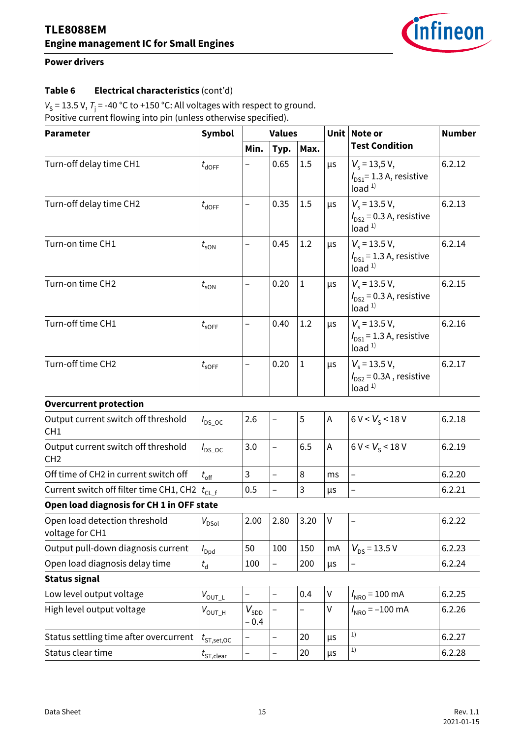

#### **Table 6 Electrical characteristics** (cont'd)

 $V_S$  = 13.5 V,  $T_j$  = -40 °C to +150 °C: All voltages with respect to ground. Positive current flowing into pin (unless otherwise specified).

<span id="page-14-16"></span><span id="page-14-15"></span><span id="page-14-14"></span><span id="page-14-13"></span><span id="page-14-12"></span><span id="page-14-11"></span><span id="page-14-10"></span><span id="page-14-9"></span><span id="page-14-8"></span><span id="page-14-7"></span><span id="page-14-6"></span><span id="page-14-5"></span><span id="page-14-4"></span><span id="page-14-3"></span><span id="page-14-2"></span><span id="page-14-1"></span><span id="page-14-0"></span>

| <b>Parameter</b>                                       | <b>Symbol</b>         | <b>Values</b>              |                          |              | Unit | Note or                                                                    | <b>Number</b> |
|--------------------------------------------------------|-----------------------|----------------------------|--------------------------|--------------|------|----------------------------------------------------------------------------|---------------|
|                                                        |                       | Min.                       | Typ.                     | Max.         |      | <b>Test Condition</b>                                                      |               |
| Turn-off delay time CH1                                | $t_{\sf dOFF}$        |                            | 0.65                     | 1.5          | μs   | $V_s$ = 13,5 V,<br>$I_{DS1}$ = 1.3 A, resistive<br>load $1$                | 6.2.12        |
| Turn-off delay time CH2                                | $t_{\text{dOFF}}$     |                            | 0.35                     | 1.5          | μs   | $V_s$ = 13.5 V,<br>$I_{DS2}$ = 0.3 A, resistive<br>load <sup>1</sup>       | 6.2.13        |
| Turn-on time CH1                                       | $t_{\rm sON}$         |                            | 0.45                     | 1.2          | μs   | $V_{\rm s}$ = 13.5 V,<br>$I_{DS1}$ = 1.3 A, resistive<br>load <sup>1</sup> | 6.2.14        |
| Turn-on time CH2                                       | $t_{\rm sON}$         |                            | 0.20                     | $\mathbf{1}$ | μs   | $V_s$ = 13.5 V,<br>$I_{DS2}$ = 0.3 A, resistive<br>load $1$                | 6.2.15        |
| Turn-off time CH1                                      | $t_{\sf soFF}$        |                            | 0.40                     | 1.2          | μs   | $V_s$ = 13.5 V,<br>$I_{DS1}$ = 1.3 A, resistive<br>load $1$                | 6.2.16        |
| Turn-off time CH2                                      | $t_{\sf soFF}$        |                            | 0.20                     | $\mathbf 1$  | μs   | $V_s$ = 13.5 V,<br>$I_{DS2}$ = 0.3A, resistive<br>load <sup>1</sup>        | 6.2.17        |
| <b>Overcurrent protection</b>                          |                       |                            |                          |              |      |                                                                            |               |
| Output current switch off threshold<br>CH <sub>1</sub> | $I_{DS\_OC}$          | 2.6                        | $\overline{\phantom{0}}$ | 5            | A    | 6 V < V <sub>S</sub> < 18 V                                                | 6.2.18        |
| Output current switch off threshold<br>CH <sub>2</sub> | $I_{DS\_OC}$          | 3.0                        |                          | 6.5          | A    | $6 V < V_{c} < 18 V$                                                       | 6.2.19        |
| Off time of CH2 in current switch off                  | $t_{\rm off}$         | 3                          |                          | 8            | ms   | $\overline{\phantom{0}}$                                                   | 6.2.20        |
| Current switch off filter time CH1, CH2                | $t_{\text{CL\_f}}$    | 0.5                        |                          | 3            | μs   |                                                                            | 6.2.21        |
| Open load diagnosis for CH 1 in OFF state              |                       |                            |                          |              |      |                                                                            |               |
| Open load detection threshold<br>voltage for CH1       | $V_{\mathsf{DSol}}$   | 2.00                       | 2.80                     | 3.20         | V    |                                                                            | 6.2.22        |
| Output pull-down diagnosis current                     | $I_{\text{Dpd}}$      | 50                         | 100                      | 150          | mA   | $V_{DS}$ = 13.5 V                                                          | 6.2.23        |
| Open load diagnosis delay time                         | $t_{\rm d}$           | 100                        | $\overline{\phantom{0}}$ | 200          | μs   |                                                                            | 6.2.24        |
| <b>Status signal</b>                                   |                       |                            |                          |              |      |                                                                            |               |
| Low level output voltage                               | $V_{\text{OUTL}}$     |                            | -                        | 0.4          | V    | $I_{\text{NRO}}$ = 100 mA                                                  | 6.2.25        |
| High level output voltage                              | $V_{\mathsf{OUT\_H}}$ | $V_{\text{5DD}}$<br>$-0.4$ |                          |              | V    | $I_{NRO} = -100 \text{ mA}$                                                | 6.2.26        |
| Status settling time after overcurrent                 | $t_{\rm ST, set, OC}$ |                            | $\overline{\phantom{0}}$ | 20           | μs   | 1)                                                                         | 6.2.27        |
| Status clear time                                      | $t_{\text{ST,clear}}$ |                            |                          | 20           | μs   | 1)                                                                         | 6.2.28        |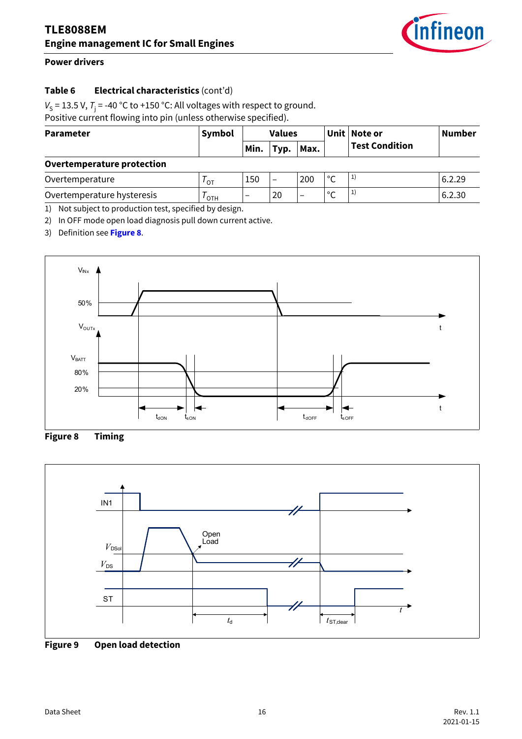

#### **Table 6 Electrical characteristics** (cont'd)

 $V_S$  = 13.5 V,  $T_i$  = -40 °C to +150 °C: All voltages with respect to ground.

Positive current flowing into pin (unless otherwise specified).

| <b>Parameter</b>                                       | Symbol         | <b>Values</b>            |                          |                          |               | Unit   Note or        | <b>Number</b> |
|--------------------------------------------------------|----------------|--------------------------|--------------------------|--------------------------|---------------|-----------------------|---------------|
|                                                        |                | Min.                     | Typ.                     | Max.                     |               | <b>Test Condition</b> |               |
| <b>Overtemperature protection</b>                      |                |                          |                          |                          |               |                       |               |
| Overtemperature                                        | $^{\prime}$ OT | 150                      | $\overline{\phantom{0}}$ | 200                      | °C            | 1)                    | 6.2.29        |
| Overtemperature hysteresis                             | OTH            | $\overline{\phantom{0}}$ | 20                       | $\overline{\phantom{0}}$ | $\mathcal{C}$ | 1)                    | 6.2.30        |
| 1) Not subject to production toot, enocified by decign |                |                          |                          |                          |               |                       |               |

<span id="page-15-4"></span><span id="page-15-3"></span><span id="page-15-1"></span>1) Not subject to production test, specified by design.

2) In OFF mode open load diagnosis pull down current active.

3) Definition see **[Figure 8](#page-15-2)**.



<span id="page-15-2"></span>**Figure 8 Timing**



<span id="page-15-0"></span>**Figure 9 Open load detection**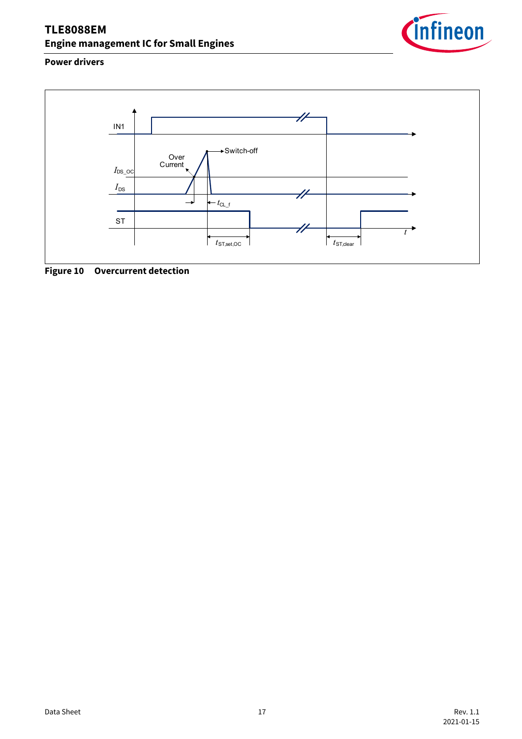

#### **Power drivers**



<span id="page-16-0"></span>**Figure 10 Overcurrent detection**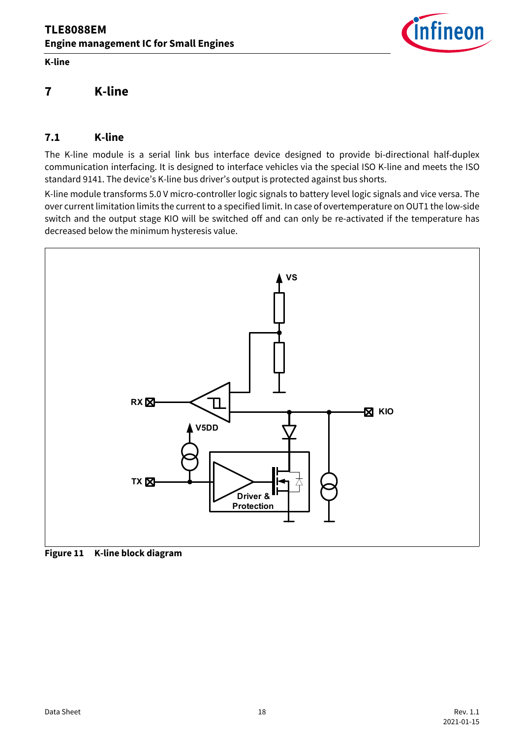**K-line**



## <span id="page-17-0"></span>**7 K-line**

#### <span id="page-17-1"></span>**7.1 K-line**

The K-line module is a serial link bus interface device designed to provide bi-directional half-duplex communication interfacing. It is designed to interface vehicles via the special ISO K-line and meets the ISO standard 9141. The device's K-line bus driver's output is protected against bus shorts.

K-line module transforms 5.0 V micro-controller logic signals to battery level logic signals and vice versa. The over current limitation limits the current to a specified limit. In case of overtemperature on OUT1 the low-side switch and the output stage KIO will be switched off and can only be re-activated if the temperature has decreased below the minimum hysteresis value.



**Figure 11 K-line block diagram**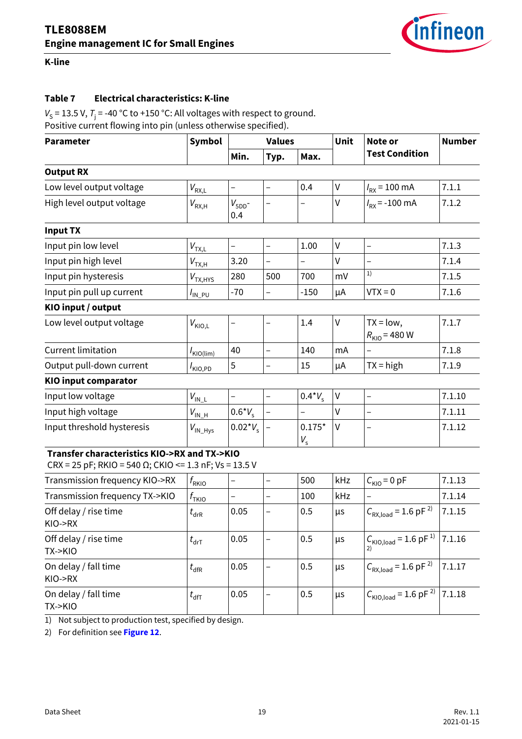<span id="page-18-15"></span>

#### **K-line**

#### **Table 7 Electrical characteristics: K-line**

 $V_S$  = 13.5 V,  $T_i$  = -40 °C to +150 °C: All voltages with respect to ground. Positive current flowing into pin (unless otherwise specified).

<span id="page-18-8"></span><span id="page-18-7"></span><span id="page-18-6"></span><span id="page-18-5"></span><span id="page-18-4"></span><span id="page-18-3"></span><span id="page-18-2"></span><span id="page-18-1"></span><span id="page-18-0"></span>

| <b>Parameter</b>                                                                                               | <b>Symbol</b>                                     | <b>Values</b>            |                          |                          | Unit    | Note or                                          | <b>Number</b> |
|----------------------------------------------------------------------------------------------------------------|---------------------------------------------------|--------------------------|--------------------------|--------------------------|---------|--------------------------------------------------|---------------|
|                                                                                                                |                                                   | Min.                     | Typ.                     | Max.                     |         | <b>Test Condition</b>                            |               |
| <b>Output RX</b>                                                                                               |                                                   |                          |                          |                          |         |                                                  |               |
| Low level output voltage                                                                                       | $V_{\text{RX,L}}$                                 | $\overline{\phantom{0}}$ | $\qquad \qquad -$        | 0.4                      | $\sf V$ | $I_{\rm RX}$ = 100 mA                            | 7.1.1         |
| High level output voltage                                                                                      | $V_{\mathsf{RX},\mathsf{H}}$                      | $V_{5DD}$ -<br>0.4       |                          | -                        | V       | $I_{\rm RX}$ = -100 mA                           | 7.1.2         |
| <b>Input TX</b>                                                                                                |                                                   |                          |                          |                          |         |                                                  |               |
| Input pin low level                                                                                            | $V_{\text{TX,L}}$                                 | $\qquad \qquad -$        | $\overline{\phantom{0}}$ | 1.00                     | $\sf V$ | $\overline{\phantom{0}}$                         | 7.1.3         |
| Input pin high level                                                                                           | $V_{\mathsf{T}\underline{\mathsf{X}},\mathsf{H}}$ | 3.20                     | $\qquad \qquad -$        | $\overline{\phantom{0}}$ | $\vee$  |                                                  | 7.1.4         |
| Input pin hysteresis                                                                                           | $V_{TX, HYS}$                                     | 280                      | 500                      | 700                      | mV      | 1)                                               | 7.1.5         |
| Input pin pull up current                                                                                      | $I_{\text{IN\_PU}}$                               | $-70$                    | $\qquad \qquad -$        | $-150$                   | μA      | $VTX = 0$                                        | 7.1.6         |
| KIO input / output                                                                                             |                                                   |                          |                          |                          |         |                                                  |               |
| Low level output voltage                                                                                       | $V_{\text{KIO,L}}$                                | —                        |                          | 1.4                      | V       | $TX = low$ ,<br>$R_{\text{KIO}} = 480 \text{ W}$ | 7.1.7         |
| <b>Current limitation</b>                                                                                      | $I_{\text{KIO}(\text{lim})}$                      | 40                       | $\overline{\phantom{0}}$ | 140                      | mA      | $\overline{\phantom{0}}$                         | 7.1.8         |
| Output pull-down current                                                                                       | $I_{\mathsf{KIO},\mathsf{PD}}$                    | 5                        | $\qquad \qquad -$        | 15                       | μA      | $TX = high$                                      | 7.1.9         |
| <b>KIO input comparator</b>                                                                                    |                                                   |                          |                          |                          |         |                                                  |               |
| Input low voltage                                                                                              | $V_{\text{IN\_L}}$                                |                          | $\qquad \qquad -$        | $0.4*V_{s}$              | V       |                                                  | 7.1.10        |
| Input high voltage                                                                                             | $V_{\text{IN\_H}}$                                | $0.6*V_s$                | $\overline{\phantom{0}}$ | $\overline{\phantom{0}}$ | V       | $\qquad \qquad -$                                | 7.1.11        |
| Input threshold hysteresis                                                                                     | $V_{\rm IN\_Hys}$                                 | $0.02^*V_s$              | $\qquad \qquad -$        | $0.175*$<br>$V_{\rm s}$  | $\vee$  |                                                  | 7.1.12        |
| Transfer characteristics KIO->RX and TX->KIO<br>CRX = 25 pF; RKIO = 540 $\Omega$ ; CKIO <= 1.3 nF; Vs = 13.5 V |                                                   |                          |                          |                          |         |                                                  |               |
| Transmission frequency KIO->RX                                                                                 | $f_{\rm RKIO}$                                    | -                        | $\qquad \qquad -$        | 500                      | kHz     | $C_{\text{KIO}} = 0 \text{ pF}$                  | 7.1.13        |
| Transmission frequency TX->KIO                                                                                 | $f_{\rm{TKIO}}$                                   | $\qquad \qquad -$        | $\qquad \qquad -$        | 100                      | kHz     |                                                  | 7.1.14        |
| Off delay / rise time<br>KIO->RX                                                                               | $t_{\sf drR}$                                     | 0.05                     | -                        | 0.5                      | μs      | $C_{\text{RX,load}} = 1.6 \text{ pF}^{2}$        | 7.1.15        |
| Off delay / rise time<br>TX->KIO                                                                               | $t_{\sf drT}$                                     | 0.05                     | -                        | 0.5                      | μs      | $C_{\text{KIO,load}} = 1.6 \text{ pF}^{1}$       | 7.1.16        |
| On delay / fall time<br>KIO->RX                                                                                | $t_{\sf dfr}$                                     | 0.05                     | $\overline{a}$           | 0.5                      | μs      | $C_{\text{RX,load}} = 1.6 \text{ pF}^{2}$        | 7.1.17        |
| On delay / fall time<br>TX->KIO                                                                                | $t_{\sf dff}$                                     | 0.05                     | $\overline{\phantom{0}}$ | 0.5                      | $\mu$ s | $C_{\text{KIO,load}} = 1.6 \text{ pF}^{2}$       | 7.1.18        |

<span id="page-18-19"></span><span id="page-18-18"></span><span id="page-18-17"></span><span id="page-18-16"></span><span id="page-18-14"></span><span id="page-18-13"></span><span id="page-18-12"></span><span id="page-18-11"></span><span id="page-18-10"></span><span id="page-18-9"></span>1) Not subject to production test, specified by design.

2) For definition see **[Figure 12](#page-19-0)**.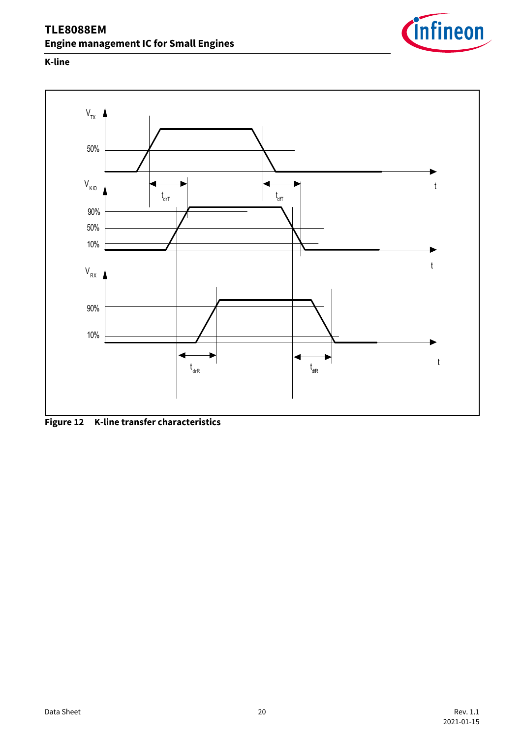

#### **K-line**



<span id="page-19-0"></span>**Figure 12 K-line transfer characteristics**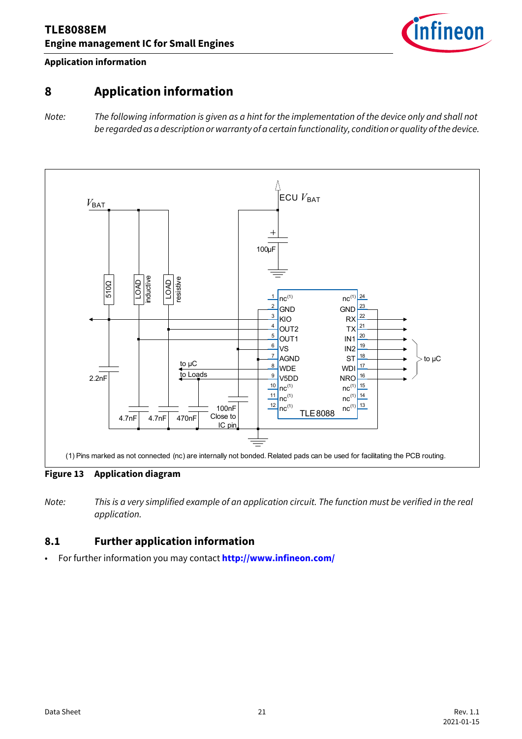

#### **Application information**

## <span id="page-20-0"></span>**8 Application information**

*Note: The following information is given as a hint for the implementation of the device only and shall not be regarded as a description or warranty of a certain functionality, condition or quality of the device.*



**Figure 13 Application diagram**

*Note: This is a very simplified example of an application circuit. The function must be verified in the real application.*

#### <span id="page-20-1"></span>**8.1 Further application information**

• For further information you may contact **<http://www.infineon.com/>**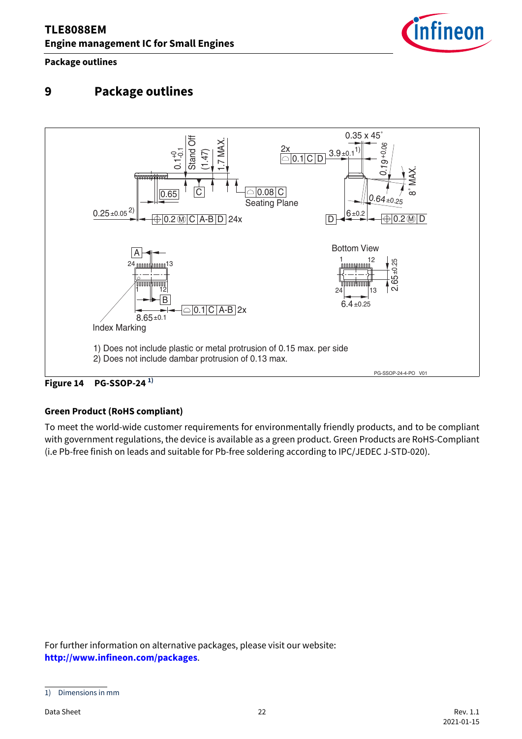

#### **Package outlines**

## <span id="page-21-0"></span>**9 Package outlines**



#### **Green Product (RoHS compliant)**

To meet the world-wide customer requirements for environmentally friendly products, and to be compliant with government regulations, the device is available as a green product. Green Products are RoHS-Compliant (i.e Pb-free finish on leads and suitable for Pb-free soldering according to IPC/JEDEC J-STD-020).

For further information on alternative packages, please visit our website: **[http://www.infineon.com/packages](http://www.infineon.com/packages/)**.

<sup>1)</sup> Dimensions in mm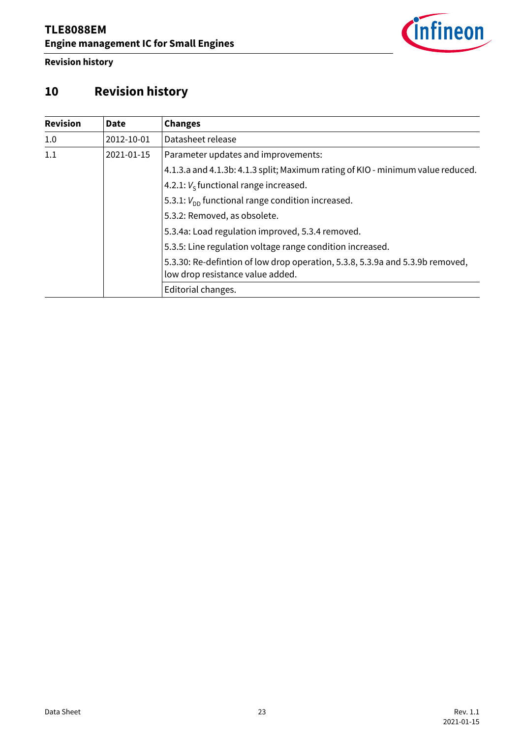

**Revision history**

# <span id="page-22-0"></span>**10 Revision history**

| <b>Revision</b> | <b>Date</b> | <b>Changes</b>                                                                                                    |
|-----------------|-------------|-------------------------------------------------------------------------------------------------------------------|
| 1.0             | 2012-10-01  | Datasheet release                                                                                                 |
| 1.1             | 2021-01-15  | Parameter updates and improvements:                                                                               |
|                 |             | 4.1.3.a and 4.1.3b: 4.1.3 split; Maximum rating of KIO - minimum value reduced.                                   |
|                 |             | 4.2.1: $V_s$ functional range increased.                                                                          |
|                 |             | 5.3.1: $V_{\text{DD}}$ functional range condition increased.                                                      |
|                 |             | 5.3.2: Removed, as obsolete.                                                                                      |
|                 |             | 5.3.4a: Load regulation improved, 5.3.4 removed.                                                                  |
|                 |             | 5.3.5: Line regulation voltage range condition increased.                                                         |
|                 |             | 5.3.30: Re-defintion of low drop operation, 5.3.8, 5.3.9a and 5.3.9b removed,<br>low drop resistance value added. |
|                 |             | Editorial changes.                                                                                                |